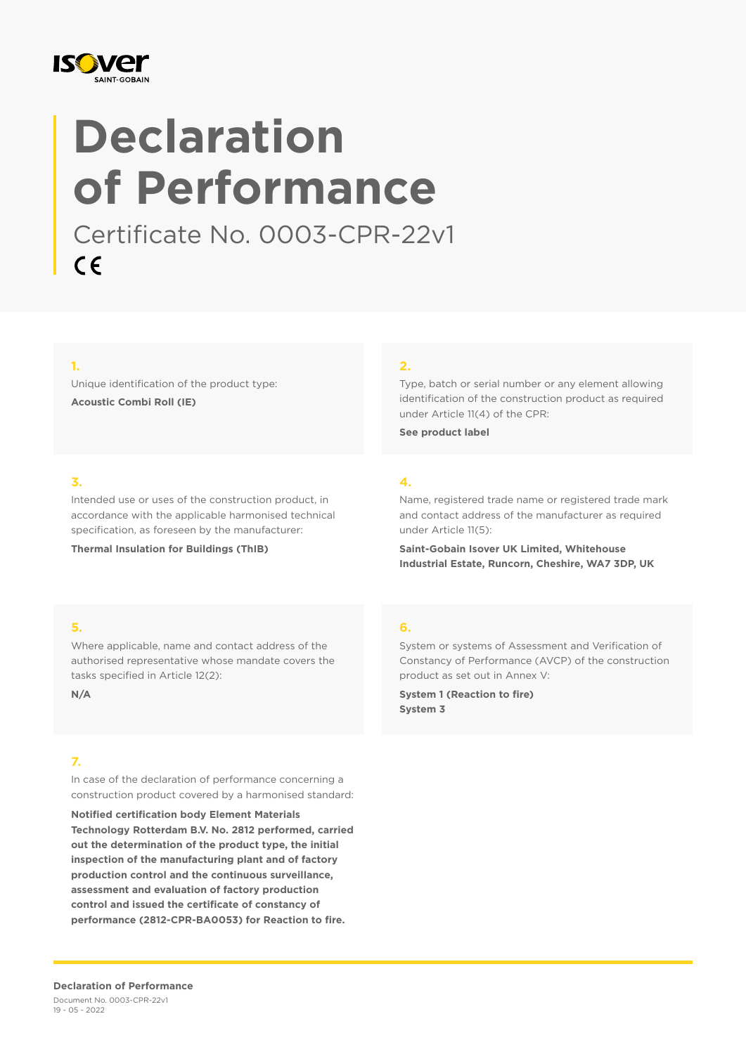

# **Declaration of Performance**

Certificate No. 0003-CPR-22v1  $C \in$ 

#### **1.**

Unique identification of the product type: **Acoustic Combi Roll (IE)**

#### **2.**

Type, batch or serial number or any element allowing identification of the construction product as required under Article 11(4) of the CPR:

**See product label**

#### **3.**

Intended use or uses of the construction product, in accordance with the applicable harmonised technical specification, as foreseen by the manufacturer:

**Thermal Insulation for Buildings (ThIB)**

### **4.**

Name, registered trade name or registered trade mark and contact address of the manufacturer as required under Article 11(5):

**Saint-Gobain Isover UK Limited, Whitehouse Industrial Estate, Runcorn, Cheshire, WA7 3DP, UK**

#### **5.**

Where applicable, name and contact address of the authorised representative whose mandate covers the tasks specified in Article 12(2):

**N/A**

#### **7.**

In case of the declaration of performance concerning a construction product covered by a harmonised standard:

**Notified certification body Element Materials Technology Rotterdam B.V. No. 2812 performed, carried out the determination of the product type, the initial inspection of the manufacturing plant and of factory production control and the continuous surveillance, assessment and evaluation of factory production control and issued the certificate of constancy of performance (2812-CPR-BA0053) for Reaction to fire.**

#### **6.**

System or systems of Assessment and Verification of Constancy of Performance (AVCP) of the construction product as set out in Annex V:

**System 1 (Reaction to fire) System 3**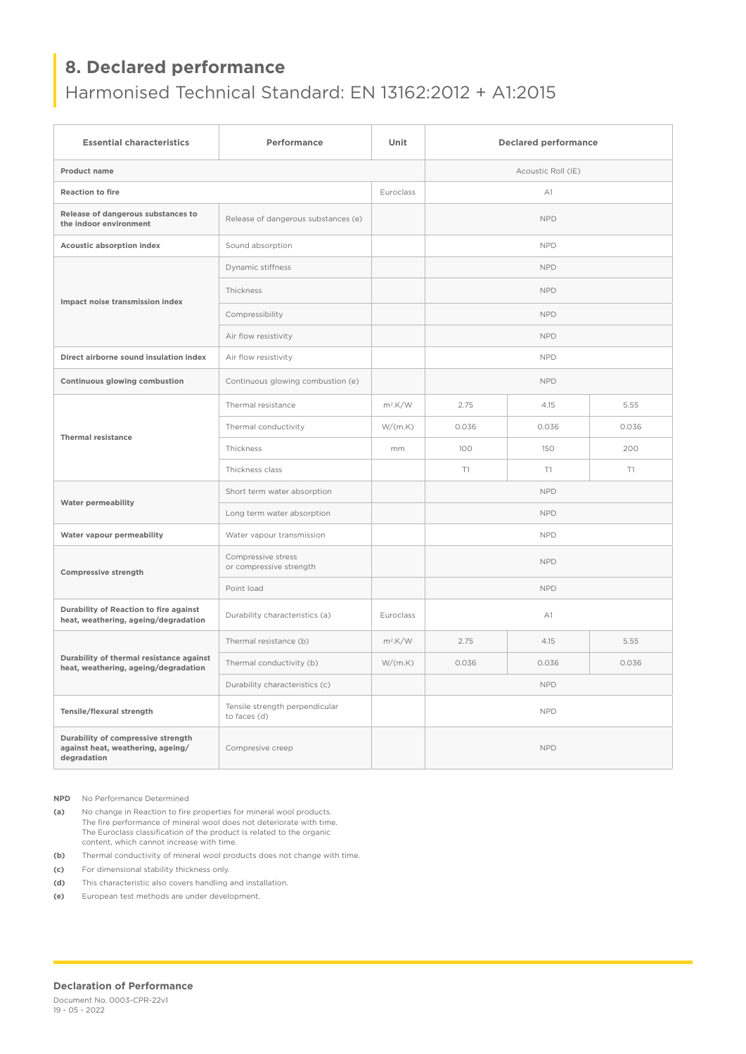## **8. Declared performance**

## Harmonised Technical Standard: EN 13162:2012 + A1:2015

| <b>Essential characteristics</b>                                                       | Performance                                    | Unit       | <b>Declared performance</b> |       |       |
|----------------------------------------------------------------------------------------|------------------------------------------------|------------|-----------------------------|-------|-------|
| Product name                                                                           |                                                |            | Acoustic Roll (IE)          |       |       |
| <b>Reaction to fire</b>                                                                |                                                | Euroclass  | A1                          |       |       |
| Release of dangerous substances to<br>the indoor environment                           | Release of dangerous substances (e)            |            | <b>NPD</b>                  |       |       |
| Acoustic absorption index                                                              | Sound absorption                               |            | <b>NPD</b>                  |       |       |
| Impact noise transmission index                                                        | Dynamic stiffness                              |            | <b>NPD</b>                  |       |       |
|                                                                                        | Thickness                                      |            | <b>NPD</b>                  |       |       |
|                                                                                        | Compressibility                                |            | <b>NPD</b>                  |       |       |
|                                                                                        | Air flow resistivity                           |            | <b>NPD</b>                  |       |       |
| Direct airborne sound insulation index                                                 | Air flow resistivity                           |            | <b>NPD</b>                  |       |       |
| Continuous glowing combustion                                                          | Continuous glowing combustion (e)              |            | <b>NPD</b>                  |       |       |
| <b>Thermal resistance</b>                                                              | Thermal resistance                             | $m^2$ .K/W | 2.75                        | 4.15  | 5.55  |
|                                                                                        | Thermal conductivity                           | W/(m.K)    | 0.036                       | 0.036 | 0.036 |
|                                                                                        | Thickness                                      | mm         | 100                         | 150   | 200   |
|                                                                                        | Thickness class                                |            | T1                          | T1    | T1    |
| <b>Water permeability</b>                                                              | Short term water absorption                    |            | <b>NPD</b>                  |       |       |
|                                                                                        | Long term water absorption                     |            | <b>NPD</b>                  |       |       |
| Water vapour permeability                                                              | Water vapour transmission                      |            | <b>NPD</b>                  |       |       |
| <b>Compressive strength</b>                                                            | Compressive stress<br>or compressive strength  |            | <b>NPD</b>                  |       |       |
|                                                                                        | Point load                                     |            | <b>NPD</b>                  |       |       |
| Durability of Reaction to fire against<br>heat, weathering, ageing/degradation         | Durability characteristics (a)                 | Euroclass  | A1                          |       |       |
| Durability of thermal resistance against<br>heat, weathering, ageing/degradation       | Thermal resistance (b)                         | $m^2$ .K/W | 2.75                        | 4.15  | 5.55  |
|                                                                                        | Thermal conductivity (b)                       | W/(m.K)    | 0.036                       | 0.036 | 0.036 |
|                                                                                        | Durability characteristics (c)                 |            | <b>NPD</b>                  |       |       |
| Tensile/flexural strength                                                              | Tensile strength perpendicular<br>to faces (d) |            | <b>NPD</b>                  |       |       |
| Durability of compressive strength<br>against heat, weathering, ageing/<br>degradation | Compresive creep                               |            | <b>NPD</b>                  |       |       |

**NPD** No Performance Determined

**(a)** No change in Reaction to fire properties for mineral wool products. The fire performance of mineral wool does not deteriorate with time. The Euroclass classification of the product is related to the organic content, which cannot increase with time.

**(b)** Thermal conductivity of mineral wool products does not change with time.

**(c)** For dimensional stability thickness only.

**(d)** This characteristic also covers handling and installation.

**(e)** European test methods are under development.

#### **Declaration of Performance**

Document No. 0003-CPR-22v1 19 - 05 - 2022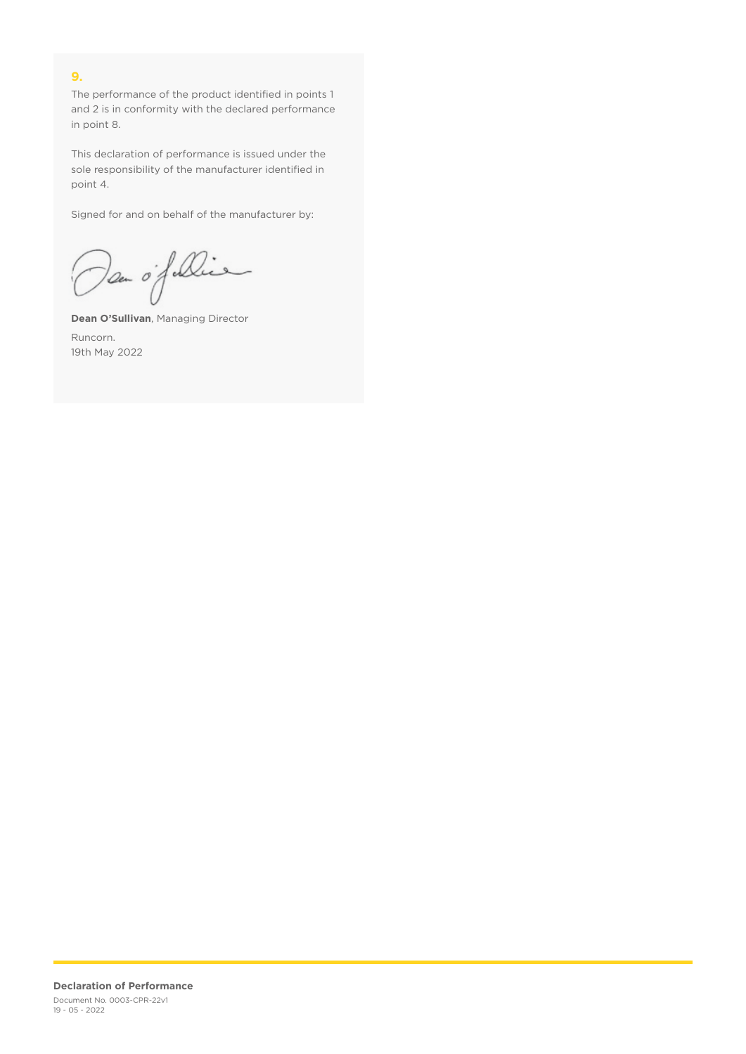#### **9.**

The performance of the product identified in points 1 and 2 is in conformity with the declared performance in point 8.

This declaration of performance is issued under the sole responsibility of the manufacturer identified in point 4.

Signed for and on behalf of the manufacturer by:

Dan of Die

**Dean O'Sullivan**, Managing Director Runcorn. 19th May 2022